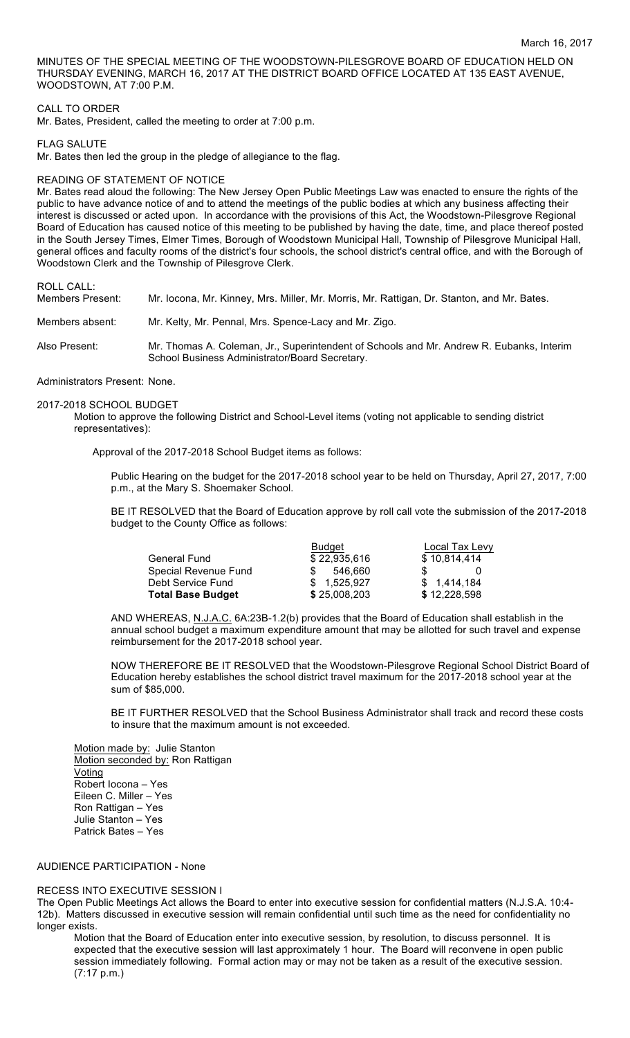MINUTES OF THE SPECIAL MEETING OF THE WOODSTOWN-PILESGROVE BOARD OF EDUCATION HELD ON THURSDAY EVENING, MARCH 16, 2017 AT THE DISTRICT BOARD OFFICE LOCATED AT 135 EAST AVENUE, WOODSTOWN, AT 7:00 P.M.

## CALL TO ORDER

Mr. Bates, President, called the meeting to order at 7:00 p.m.

### FLAG SALUTE

Mr. Bates then led the group in the pledge of allegiance to the flag.

### READING OF STATEMENT OF NOTICE

Mr. Bates read aloud the following: The New Jersey Open Public Meetings Law was enacted to ensure the rights of the public to have advance notice of and to attend the meetings of the public bodies at which any business affecting their interest is discussed or acted upon. In accordance with the provisions of this Act, the Woodstown-Pilesgrove Regional Board of Education has caused notice of this meeting to be published by having the date, time, and place thereof posted in the South Jersey Times, Elmer Times, Borough of Woodstown Municipal Hall, Township of Pilesgrove Municipal Hall, general offices and faculty rooms of the district's four schools, the school district's central office, and with the Borough of Woodstown Clerk and the Township of Pilesgrove Clerk.

## ROLL CALL:

| Members Present: | Mr. locona, Mr. Kinney, Mrs. Miller, Mr. Morris, Mr. Rattigan, Dr. Stanton, and Mr. Bates.                                                 |
|------------------|--------------------------------------------------------------------------------------------------------------------------------------------|
| Members absent:  | Mr. Kelty, Mr. Pennal, Mrs. Spence-Lacy and Mr. Zigo.                                                                                      |
| Also Present:    | Mr. Thomas A. Coleman, Jr., Superintendent of Schools and Mr. Andrew R. Eubanks, Interim<br>School Business Administrator/Board Secretary. |

#### Administrators Present: None.

#### 2017-2018 SCHOOL BUDGET

Motion to approve the following District and School-Level items (voting not applicable to sending district representatives):

Approval of the 2017-2018 School Budget items as follows:

Public Hearing on the budget for the 2017-2018 school year to be held on Thursday, April 27, 2017, 7:00 p.m., at the Mary S. Shoemaker School.

BE IT RESOLVED that the Board of Education approve by roll call vote the submission of the 2017-2018 budget to the County Office as follows:

|                          | Budget       | Local Tax Levy |  |
|--------------------------|--------------|----------------|--|
| <b>General Fund</b>      | \$22,935,616 | \$10,814,414   |  |
| Special Revenue Fund     | 546.660      |                |  |
| Debt Service Fund        | \$1.525.927  | \$1,414,184    |  |
| <b>Total Base Budget</b> | \$25,008,203 | \$12,228,598   |  |

AND WHEREAS, N.J.A.C. 6A:23B-1.2(b) provides that the Board of Education shall establish in the annual school budget a maximum expenditure amount that may be allotted for such travel and expense reimbursement for the 2017-2018 school year.

NOW THEREFORE BE IT RESOLVED that the Woodstown-Pilesgrove Regional School District Board of Education hereby establishes the school district travel maximum for the 2017-2018 school year at the sum of \$85,000.

BE IT FURTHER RESOLVED that the School Business Administrator shall track and record these costs to insure that the maximum amount is not exceeded.

Motion made by: Julie Stanton Motion seconded by: Ron Rattigan Voting Robert Iocona – Yes Eileen C. Miller – Yes Ron Rattigan – Yes Julie Stanton – Yes Patrick Bates – Yes

# AUDIENCE PARTICIPATION - None

# RECESS INTO EXECUTIVE SESSION I

The Open Public Meetings Act allows the Board to enter into executive session for confidential matters (N.J.S.A. 10:4- 12b). Matters discussed in executive session will remain confidential until such time as the need for confidentiality no longer exists.

Motion that the Board of Education enter into executive session, by resolution, to discuss personnel. It is expected that the executive session will last approximately 1 hour. The Board will reconvene in open public session immediately following. Formal action may or may not be taken as a result of the executive session. (7:17 p.m.)